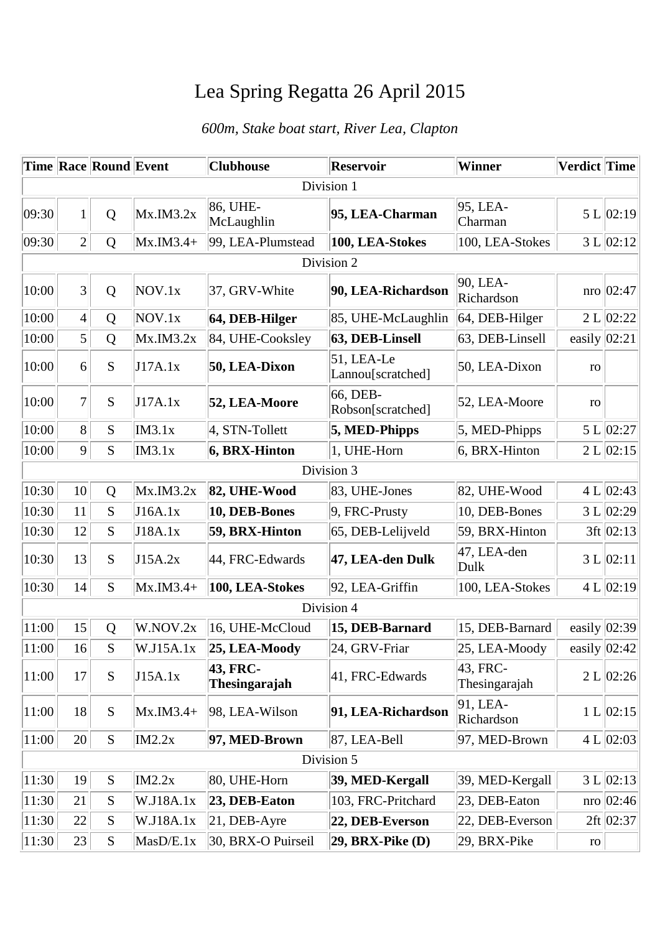## Lea Spring Regatta 26 April 2015

## *600m, Stake boat start, River Lea, Clapton*

|            |                | Time Race Round Event |              | <b>Clubhouse</b>          | <b>Reservoir</b>                | <b>Winner</b>             | <b>Verdict Time</b> |                    |  |  |
|------------|----------------|-----------------------|--------------|---------------------------|---------------------------------|---------------------------|---------------------|--------------------|--|--|
| Division 1 |                |                       |              |                           |                                 |                           |                     |                    |  |  |
| 09:30      | 1              | Q                     | MX.IM3.2x    | 86, UHE-<br>McLaughlin    | 95, LEA-Charman                 | 95, LEA-<br>Charman       |                     | 5 L   02:19        |  |  |
| 09:30      | $\overline{2}$ | Q                     | $MX.M3.4+$   | 99, LEA-Plumstead         | 100, LEA-Stokes                 | 100, LEA-Stokes           |                     | 3 L   02:12        |  |  |
| Division 2 |                |                       |              |                           |                                 |                           |                     |                    |  |  |
| 10:00      | 3              | Q                     | NOV.1x       | 37, GRV-White             | 90, LEA-Richardson              | 90, LEA-<br>Richardson    |                     | $\text{nro}$ 02:47 |  |  |
| 10:00      | $\overline{4}$ | $\mathbf Q$           | NOV.1x       | 64, DEB-Hilger            | 85, UHE-McLaughlin              | 64, DEB-Hilger            |                     | 2 L   02:22        |  |  |
| 10:00      | $\mathfrak{S}$ | Q                     | MX.IM3.2x    | 84, UHE-Cooksley          | 63, DEB-Linsell                 | 63, DEB-Linsell           |                     | easily $ 02:21$    |  |  |
| 10:00      | 6              | S                     | J17A.1x      | 50, LEA-Dixon             | 51, LEA-Le<br>Lannou[scratched] | 50, LEA-Dixon             | ro                  |                    |  |  |
| 10:00      | 7              | S                     | J17A.1x      | 52, LEA-Moore             | 66, DEB-<br>Robson[scratched]   | 52, LEA-Moore             | ro                  |                    |  |  |
| 10:00      | 8              | S                     | IM3.1x       | $ 4, STN-Tollett$         | $5, \text{MED-Phipps}$          | 5, MED-Phipps             |                     | 5 L $ 02:27 $      |  |  |
| 10:00      | 9              | S                     | IM3.1x       | 6, BRX-Hinton             | 1, UHE-Horn                     | 6, BRX-Hinton             |                     | 2 L   02:15        |  |  |
|            |                |                       |              |                           | Division 3                      |                           |                     |                    |  |  |
| 10:30      | 10             | Q                     | Mx.M3.2x     | 82, UHE-Wood              | 83, UHE-Jones                   | 82, UHE-Wood              |                     | 4 L   02:43        |  |  |
| 10:30      | 11             | S                     | J16A.1x      | 10, DEB-Bones             | $ 9, FRC-Prusty$                | 10, DEB-Bones             |                     | 3 L   02:29        |  |  |
| 10:30      | 12             | S                     | J18A.1x      | 59, BRX-Hinton            | 65, DEB-Lelijveld               | 59, BRX-Hinton            |                     | $3ft$   02:13      |  |  |
| 10:30      | 13             | S                     | J15A.2x      | 44, FRC-Edwards           | 47, LEA-den Dulk                | 47, LEA-den<br>Dulk       |                     | 3 L   02:11        |  |  |
| 10:30      | 14             | S                     | $Mx.M3.4+$   | 100, LEA-Stokes           | 92, LEA-Griffin                 | 100, LEA-Stokes           |                     | 4 L   02:19        |  |  |
|            |                |                       |              |                           | Division 4                      |                           |                     |                    |  |  |
| 11:00      | 15             | Q                     | W.NOV.2x     | 16, UHE-McCloud           | 15, DEB-Barnard                 | 15, DEB-Barnard           |                     | easily $ 02:39 $   |  |  |
| 11:00      | 16             | S                     | W.J15A.1x    | 25, LEA-Moody             | 24, GRV-Friar                   | 25, LEA-Moody             |                     | easily $ 02:42 $   |  |  |
| 11:00      | 17             | S                     | J15A.1x      | 43, FRC-<br>Thesingarajah | 41, FRC-Edwards                 | 43, FRC-<br>Thesingarajah |                     | 2 L   02:26        |  |  |
| 11:00      | 18             | S                     | $MX.M3.4+$   | 98, LEA-Wilson            | 91, LEA-Richardson              | 91, LEA-<br>Richardson    |                     | 1 L   02:15        |  |  |
| 11:00      | 20             | S                     | IM2.2x       | 97, MED-Brown             | 87, LEA-Bell                    | 97, MED-Brown             |                     | 4 L   02:03        |  |  |
| Division 5 |                |                       |              |                           |                                 |                           |                     |                    |  |  |
| 11:30      | 19             | ${\bf S}$             | IM2.2x       | 80, UHE-Horn              | 39, MED-Kergall                 | 39, MED-Kergall           |                     | 3 L   02:13        |  |  |
| 11:30      | 21             | S                     | W.J18A.1x    | 23, DEB-Eaton             | 103, FRC-Pritchard              | 23, DEB-Eaton             |                     | $nro$   02:46      |  |  |
| 11:30      | 22             | S                     | W.J18A.1x    | $ 21,$ DEB-Ayre           | 22, DEB-Everson                 | 22, DEB-Everson           |                     | $2ft$ 02:37        |  |  |
| 11:30      | 23             | S                     | $M$ asD/E.1x | 30, BRX-O Puirseil        | $29$ , BRX-Pike (D)             | 29, BRX-Pike              | ro                  |                    |  |  |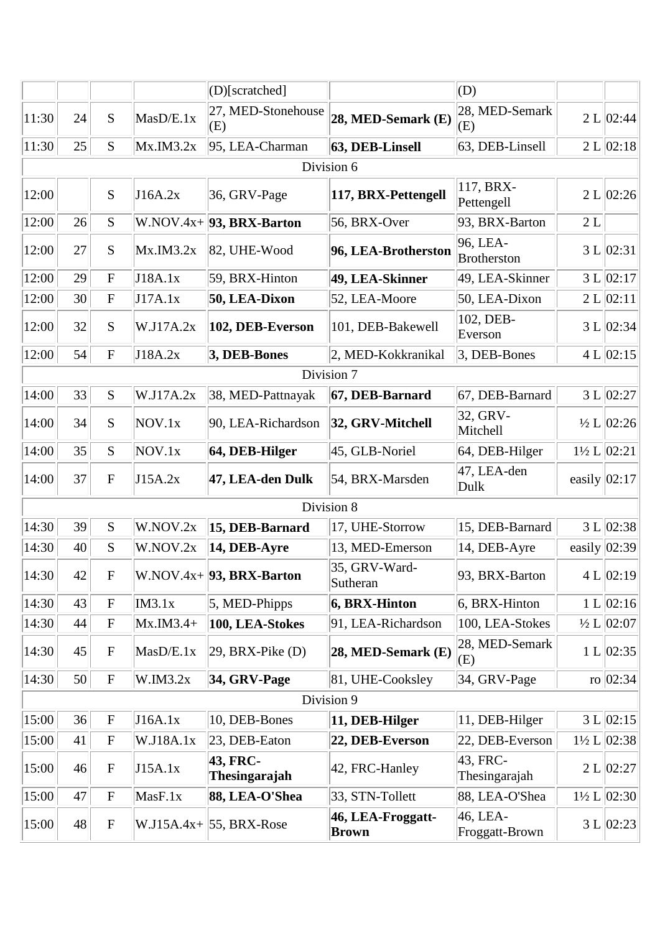|       |    |              |            | (D)[scratched]             |                                   | (D)                            |    |                            |
|-------|----|--------------|------------|----------------------------|-----------------------------------|--------------------------------|----|----------------------------|
| 11:30 | 24 | S            | MasD/E.1x  | 27, MED-Stonehouse<br>(E)  | 28, MED-Semark (E)                | 28, MED-Semark<br>(E)          |    | 2 L   02:44                |
| 11:30 | 25 | S            | Mx.M3.2x   | 95, LEA-Charman            | 63, DEB-Linsell                   | 63, DEB-Linsell                |    | 2 L   02:18                |
|       |    |              |            |                            | Division 6                        |                                |    |                            |
| 12:00 |    | S            | J16A.2x    | $36,$ GRV-Page             | 117, BRX-Pettengell               | 117, BRX-<br>Pettengell        |    | 2 L   02:26                |
| 12:00 | 26 | S            |            | $W.NOV.4x+ 93, BRX-Barton$ | 56, BRX-Over                      | 93, BRX-Barton                 | 2L |                            |
| 12:00 | 27 | S            | Mx.M3.2x   | 82, UHE-Wood               | 96, LEA-Brotherston               | 96, LEA-<br><b>Brotherston</b> |    | 3 L   02:31                |
| 12:00 | 29 | ${\bf F}$    | J18A.1x    | 59, BRX-Hinton             | 49, LEA-Skinner                   | 49, LEA-Skinner                |    | 3 L   02:17                |
| 12:00 | 30 | $\mathbf{F}$ | J17A.1x    | 50, LEA-Dixon              | 52, LEA-Moore                     | 50, LEA-Dixon                  |    | 2 L   02:11                |
| 12:00 | 32 | S            | W.J17A.2x  | 102, DEB-Everson           | 101, DEB-Bakewell                 | 102, DEB-<br>Everson           |    | 3 L   02:34                |
| 12:00 | 54 | $\mathbf F$  | J18A.2x    | 3, DEB-Bones               | 2, MED-Kokkranikal                | $ 3,$ DEB-Bones                |    | 4 L   02:15                |
|       |    |              |            |                            | Division 7                        |                                |    |                            |
| 14:00 | 33 | S            | W.J17A.2x  | 38, MED-Pattnayak          | 67, DEB-Barnard                   | 67, DEB-Barnard                |    | 3 L   02:27                |
| 14:00 | 34 | S            | NOV.1x     | 90, LEA-Richardson         | 32, GRV-Mitchell                  | 32, GRV-<br>Mitchell           |    | $\frac{1}{2}$ L 02:26      |
| 14:00 | 35 | S            | NOV.1x     | 64, DEB-Hilger             | 45, GLB-Noriel                    | 64, DEB-Hilger                 |    | $1\frac{1}{2}$ L $ 02:21 $ |
| 14:00 | 37 | $\mathbf F$  | J15A.2x    | 47, LEA-den Dulk           | 54, BRX-Marsden                   | 47, LEA-den<br>Dulk            |    | easily $ 02:17 $           |
|       |    |              |            |                            | Division 8                        |                                |    |                            |
| 14:30 | 39 | S            | W.NOV.2x   | 15, DEB-Barnard            | 17, UHE-Storrow                   | 15, DEB-Barnard                |    | 3 L   02:38                |
| 14:30 | 40 | S            | W.NOV.2x   | 14, DEB-Ayre               | 13, MED-Emerson                   | 14, DEB-Ayre                   |    | easily $ 02:39 $           |
| 14:30 | 42 | $\mathbf F$  |            | $W.NOV.4x+$ 93, BRX-Barton | 35, GRV-Ward-<br>Sutheran         | 93, BRX-Barton                 |    | 4 L   02:19                |
| 14:30 | 43 | $\mathbf{F}$ | IM3.1x     | $5$ , MED-Phipps           | $6, BRX-Hinton$                   | 6, BRX-Hinton                  |    | 1 L   02:16                |
| 14:30 | 44 | $\mathbf F$  | $Mx.M3.4+$ | 100, LEA-Stokes            | 91, LEA-Richardson                | 100, LEA-Stokes                |    | $\frac{1}{2}$ L 02:07      |
| 14:30 | 45 | $\mathbf F$  | MasD/E.1x  | $ 29, BRX-Pike(D) $        | 28, MED-Semark (E)                | 28, MED-Semark<br>(E)          |    | 1 L   02:35                |
| 14:30 | 50 | $\mathbf F$  | W.IM3.2x   | $34,$ GRV-Page             | 81, UHE-Cooksley                  | $ 34, \text{GRV-Page} $        |    | ro $ 02:34 $               |
|       |    |              |            |                            | Division 9                        |                                |    |                            |
| 15:00 | 36 | ${\bf F}$    | J16A.1x    | 10, DEB-Bones              | $ 11,$ DEB-Hilger                 | 11, DEB-Hilger                 |    | 3 L   02:15                |
| 15:00 | 41 | $\mathbf{F}$ | W.J18A.1x  | 23, DEB-Eaton              | 22, DEB-Everson                   | 22, DEB-Everson                |    | $1\frac{1}{2}$ L $ 02:38 $ |
| 15:00 | 46 | $\mathbf F$  | J15A.1x    | 43, FRC-<br>Thesingarajah  | 42, FRC-Hanley                    | 43, FRC-<br>Thesingarajah      |    | 2 L   02:27                |
| 15:00 | 47 | $\mathbf F$  | MasF.1x    | 88, LEA-O'Shea             | 33, STN-Tollett                   | 88, LEA-O'Shea                 |    | $1\frac{1}{2}$ L $ 02:30 $ |
| 15:00 | 48 | $\mathbf{F}$ |            | $W.J15A.4x+ 55, BRX-Rose$  | 46, LEA-Froggatt-<br><b>Brown</b> | 46, LEA-<br>Froggatt-Brown     |    | 3 L   02:23                |